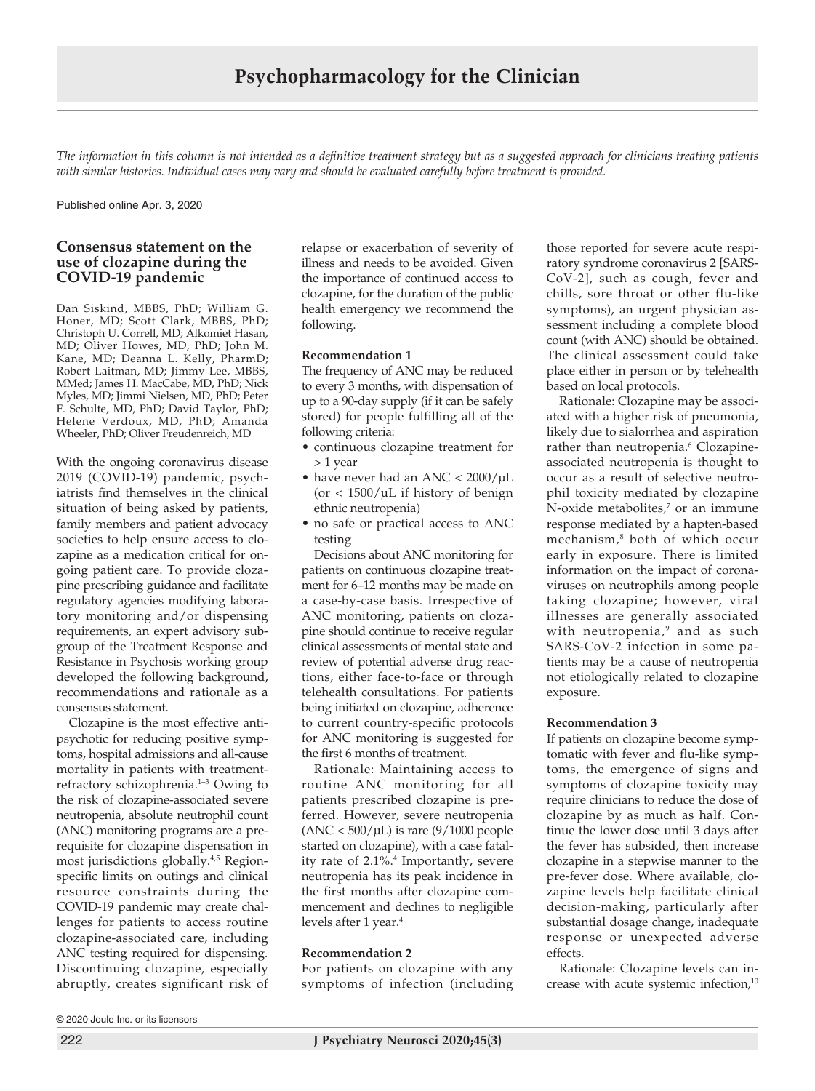*The information in this column is not intended as a definitive treatment strategy but as a suggested approach for clinicians treating patients*  with similar histories. Individual cases may vary and should be evaluated carefully before treatment is provided.

Published online Apr. 3, 2020

# **Consensus statement on the use of clozapine during the COVID-19 pandemic**

Dan Siskind, MBBS, PhD; William G. Honer, MD; Scott Clark, MBBS, PhD; Christoph U. Correll, MD; Alkomiet Hasan, MD; Oliver Howes, MD, PhD; John M. Kane, MD; Deanna L. Kelly, PharmD; Robert Laitman, MD; Jimmy Lee, MBBS, MMed; James H. MacCabe, MD, PhD; Nick Myles, MD; Jimmi Nielsen, MD, PhD; Peter F. Schulte, MD, PhD; David Taylor, PhD; Helene Verdoux, MD, PhD; Amanda Wheeler, PhD; Oliver Freudenreich, MD

With the ongoing coronavirus disease 2019 (COVID-19) pandemic, psychiatrists find themselves in the clinical situation of being asked by patients, family members and patient advocacy societies to help ensure access to clozapine as a medication critical for ongoing patient care. To provide clozapine prescribing guidance and facilitate regulatory agencies modifying laboratory monitoring and/or dispensing requirements, an expert advisory subgroup of the Treatment Response and Resistance in Psychosis working group developed the following background, recommendations and rationale as a consensus statement.

Clozapine is the most effective antipsychotic for reducing positive symptoms, hospital admissions and all-cause mortality in patients with treatmentrefractory schizophrenia.1–3 Owing to the risk of clozapine-associated severe neutropenia, absolute neutrophil count (ANC) monitoring programs are a prerequisite for clozapine dispensation in most jurisdictions globally.4,5 Regionspecific limits on outings and clinical resource constraints during the COVID-19 pandemic may create challenges for patients to access routine clozapine-associated care, including ANC testing required for dispensing. Discontinuing clozapine, especially abruptly, creates significant risk of

relapse or exacerbation of severity of illness and needs to be avoided. Given the importance of continued access to clozapine, for the duration of the public health emergency we recommend the following.

### **Recommendation 1**

The frequency of ANC may be reduced to every 3 months, with dispensation of up to a 90-day supply (if it can be safely stored) for people fulfilling all of the following criteria:

- continuous clozapine treatment for > 1 year
- have never had an ANC  $< 2000/\mu L$  $($ or < 1500/ $\mu$ L if history of benign ethnic neutropenia)
- no safe or practical access to ANC testing

Decisions about ANC monitoring for patients on continuous clozapine treatment for 6–12 months may be made on a case-by-case basis. Irrespective of ANC monitoring, patients on clozapine should continue to receive regular clinical assessments of mental state and review of potential adverse drug reactions, either face-to-face or through telehealth consultations. For patients being initiated on clozapine, adherence to current country-specific protocols for ANC monitoring is suggested for the first 6 months of treatment.

Rationale: Maintaining access to routine ANC monitoring for all patients prescribed clozapine is preferred. However, severe neutropenia  $(ANC < 500/µL)$  is rare  $(9/1000$  people started on clozapine), with a case fatality rate of 2.1%.4 Importantly, severe neutropenia has its peak incidence in the first months after clozapine commencement and declines to negligible levels after 1 year.<sup>4</sup>

## **Recommendation 2**

For patients on clozapine with any symptoms of infection (including those reported for severe acute respiratory syndrome coronavirus 2 [SARS-CoV-2], such as cough, fever and chills, sore throat or other flu-like symptoms), an urgent physician assessment including a complete blood count (with ANC) should be obtained. The clinical assessment could take place either in person or by telehealth based on local protocols.

Rationale: Clozapine may be associated with a higher risk of pneumonia, likely due to sialorrhea and aspiration rather than neutropenia.<sup>6</sup> Clozapineassociated neutropenia is thought to occur as a result of selective neutrophil toxicity mediated by clozapine N-oxide metabolites,<sup>7</sup> or an immune response mediated by a hapten-based mechanism,8 both of which occur early in exposure. There is limited information on the impact of coronaviruses on neutrophils among people taking clozapine; however, viral illnesses are generally associated with neutropenia,<sup>9</sup> and as such SARS-CoV-2 infection in some patients may be a cause of neutropenia not etiologically related to clozapine exposure.

### **Recommendation 3**

If patients on clozapine become symptomatic with fever and flu-like symptoms, the emergence of signs and symptoms of clozapine toxicity may require clinicians to reduce the dose of clozapine by as much as half. Continue the lower dose until 3 days after the fever has subsided, then increase clozapine in a stepwise manner to the pre-fever dose. Where available, clozapine levels help facilitate clinical decision-making, particularly after substantial dosage change, inadequate response or unexpected adverse effects.

Rationale: Clozapine levels can increase with acute systemic infection,<sup>10</sup>